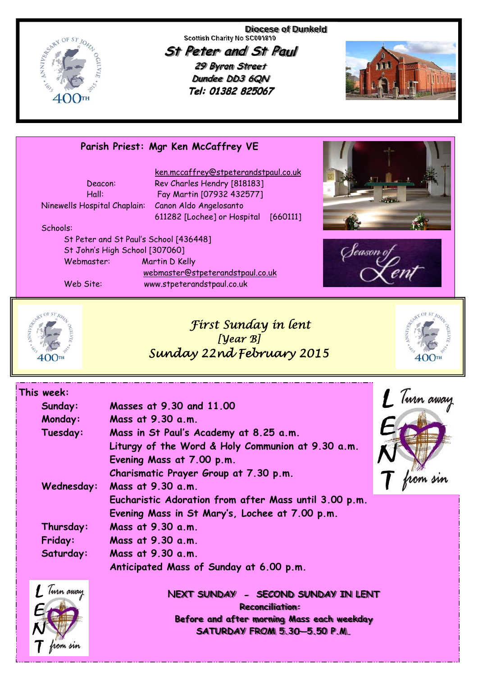

**Diocese of Dunkeld Scottish Charity No SC001810** 

**St Peter and St Paul 29 Byron Street Dundee DD3 6QN** Tel: 01382 825067



### **Parish Priest: Mgr Ken McCaffrey VE**

| Deacon:                      |  |
|------------------------------|--|
| Hall:                        |  |
| Ninewells Hospital Chaplain: |  |
|                              |  |

 ken.mccaffrey@stpeterandstpaul.co.uk Rev Charles Hendry [818183] Fay Martin [07932 432577] Canon Aldo Angelosanto 611282 [Lochee] or Hospital [660111]

#### Schools:

 St Peter and St Paul's School [436448] St John's High School [307060] Webmaster: Martin D Kelly webmaster@stpeterandstpaul.co.uk Web Site: www.stpeterandstpaul.co.uk







# *First Sunday in lent [Year B] Sunday 22nd February 2015*



| This week:     |                                                       |           |
|----------------|-------------------------------------------------------|-----------|
| Sunday:        | Masses at 9.30 and 11.00                              | Turn away |
| Monday:        | Mass at 9.30 a.m.                                     |           |
| Tuesday:       | Mass in St Paul's Academy at 8.25 a.m.                |           |
|                | Liturgy of the Word & Holy Communion at 9.30 a.m.     |           |
|                | Evening Mass at 7.00 p.m.                             |           |
|                | Charismatic Prayer Group at 7.30 p.m.                 |           |
| Wednesday:     | Mass at 9.30 a.m.                                     |           |
|                | Eucharistic Adoration from after Mass until 3.00 p.m. |           |
|                | Evening Mass in St Mary's, Lochee at 7.00 p.m.        |           |
| Thursday:      | Mass at 9.30 a.m.                                     |           |
| <b>Friday:</b> | Mass at 9.30 a.m.                                     |           |
| Saturday:      | Mass at 9.30 a.m.                                     |           |
|                | Anticipated Mass of Sunday at 6.00 p.m.               |           |
| $\mathcal{I}$  |                                                       |           |



**NEXT SUNDAY - SECOND SUNDAY IN LENT Reconciliation: Before and after morning Mass each weekday SATURDAY FROM 5.30—5.50 P.M.**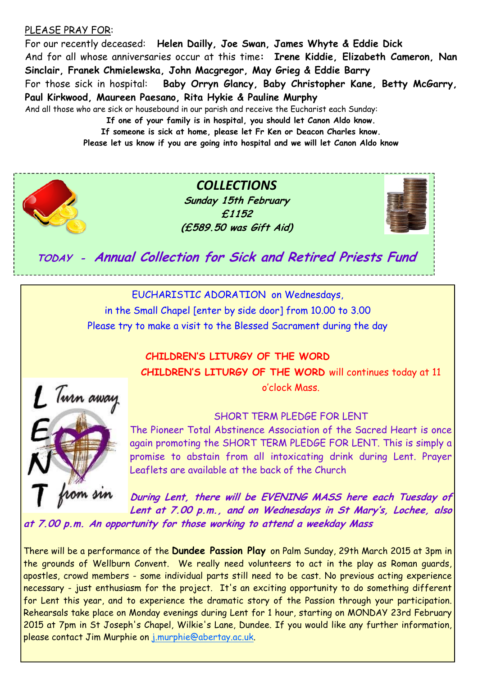### PLEASE PRAY FOR:

For our recently deceased: **Helen Dailly, Joe Swan, James Whyte & Eddie Dick**  And for all whose anniversaries occur at this time**: Irene Kiddie, Elizabeth Cameron, Nan Sinclair, Franek Chmielewska, John Macgregor, May Grieg & Eddie Barry**  For those sick in hospital: **Baby Orryn Glancy, Baby Christopher Kane, Betty McGarry, Paul Kirkwood, Maureen Paesano, Rita Hykie & Pauline Murphy**  And all those who are sick or housebound in our parish and receive the Eucharist each Sunday:

**If one of your family is in hospital, you should let Canon Aldo know. If someone is sick at home, please let Fr Ken or Deacon Charles know.** 

**Please let us know if you are going into hospital and we will let Canon Aldo know** 



*COLLECTIONS* **Sunday 15th February £1152 (£589.50 was Gift Aid)**



**TODAY - Annual Collection for Sick and Retired Priests Fund**

EUCHARISTIC ADORATION on Wednesdays, in the Small Chapel [enter by side door] from 10.00 to 3.00 Please try to make a visit to the Blessed Sacrament during the day

> **CHILDREN'S LITURGY OF THE WORD CHILDREN'S LITURGY OF THE WORD** will continues today at 11 o'clock Mass.



SHORT TERM PLEDGE FOR LENT

The Pioneer Total Abstinence Association of the Sacred Heart is once again promoting the SHORT TERM PLEDGE FOR LENT. This is simply a promise to abstain from all intoxicating drink during Lent. Prayer Leaflets are available at the back of the Church

**During Lent, there will be EVENING MASS here each Tuesday of Lent at 7.00 p.m., and on Wednesdays in St Mary's, Lochee, also at 7.00 p.m. An opportunity for those working to attend a weekday Mass** 

There will be a performance of the **Dundee Passion Play** on Palm Sunday, 29th March 2015 at 3pm in the grounds of Wellburn Convent. We really need volunteers to act in the play as Roman guards, apostles, crowd members - some individual parts still need to be cast. No previous acting experience necessary - just enthusiasm for the project. It's an exciting opportunity to do something different for Lent this year, and to experience the dramatic story of the Passion through your participation. Rehearsals take place on Monday evenings during Lent for 1 hour, starting on MONDAY 23rd February 2015 at 7pm in St Joseph's Chapel, Wilkie's Lane, Dundee. If you would like any further information, please contact Jim Murphie on j.murphie@abertay.ac.uk.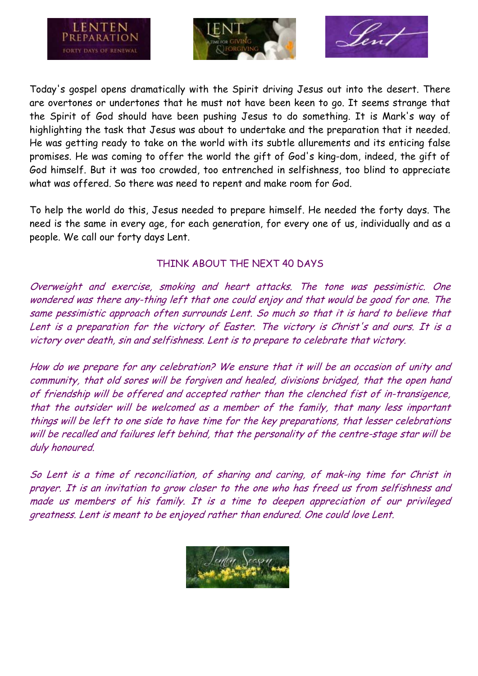





Today's gospel opens dramatically with the Spirit driving Jesus out into the desert. There are overtones or undertones that he must not have been keen to go. It seems strange that the Spirit of God should have been pushing Jesus to do something. It is Mark's way of highlighting the task that Jesus was about to undertake and the preparation that it needed. He was getting ready to take on the world with its subtle allurements and its enticing false promises. He was coming to offer the world the gift of God's king-dom, indeed, the gift of God himself. But it was too crowded, too entrenched in selfishness, too blind to appreciate what was offered. So there was need to repent and make room for God.

To help the world do this, Jesus needed to prepare himself. He needed the forty days. The need is the same in every age, for each generation, for every one of us, individually and as a people. We call our forty days Lent.

## THINK ABOUT THE NEXT 40 DAYS

Overweight and exercise, smoking and heart attacks. The tone was pessimistic. One wondered was there any-thing left that one could enjoy and that would be good for one. The same pessimistic approach often surrounds Lent. So much so that it is hard to believe that Lent is a preparation for the victory of Easter. The victory is Christ's and ours. It is a victory over death, sin and selfishness. Lent is to prepare to celebrate that victory.

How do we prepare for any celebration? We ensure that it will be an occasion of unity and community, that old sores will be forgiven and healed, divisions bridged, that the open hand of friendship will be offered and accepted rather than the clenched fist of in-transigence, that the outsider will be welcomed as a member of the family, that many less important things will be left to one side to have time for the key preparations, that lesser celebrations will be recalled and failures left behind, that the personality of the centre-stage star will be duly honoured.

So Lent is a time of reconciliation, of sharing and caring, of mak-ing time for Christ in prayer. It is an invitation to grow closer to the one who has freed us from selfishness and made us members of his family. It is a time to deepen appreciation of our privileged greatness. Lent is meant to be enjoyed rather than endured. One could love Lent.